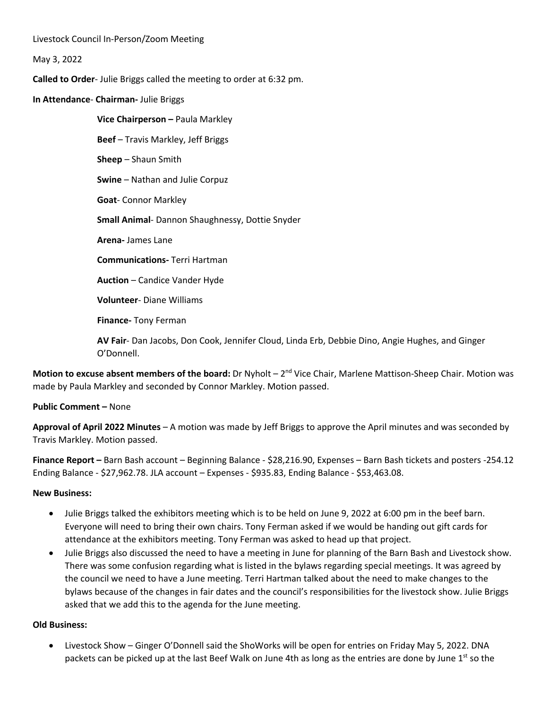Livestock Council In-Person/Zoom Meeting

May 3, 2022

**Called to Order**- Julie Briggs called the meeting to order at 6:32 pm.

**In Attendance**- **Chairman-** Julie Briggs

**Vice Chairperson –** Paula Markley **Beef** – Travis Markley, Jeff Briggs **Sheep** – Shaun Smith **Swine** – Nathan and Julie Corpuz **Goat**- Connor Markley **Small Animal**- Dannon Shaughnessy, Dottie Snyder **Arena-** James Lane **Communications-** Terri Hartman **Auction** – Candice Vander Hyde **Volunteer**- Diane Williams

**Finance-** Tony Ferman

**AV Fair**- Dan Jacobs, Don Cook, Jennifer Cloud, Linda Erb, Debbie Dino, Angie Hughes, and Ginger O'Donnell.

**Motion to excuse absent members of the board:** Dr Nyholt – 2<sup>nd</sup> Vice Chair, Marlene Mattison-Sheep Chair. Motion was made by Paula Markley and seconded by Connor Markley. Motion passed.

## **Public Comment –** None

**Approval of April 2022 Minutes** – A motion was made by Jeff Briggs to approve the April minutes and was seconded by Travis Markley. Motion passed.

**Finance Report –** Barn Bash account – Beginning Balance - \$28,216.90, Expenses – Barn Bash tickets and posters -254.12 Ending Balance - \$27,962.78. JLA account – Expenses - \$935.83, Ending Balance - \$53,463.08.

## **New Business:**

- Julie Briggs talked the exhibitors meeting which is to be held on June 9, 2022 at 6:00 pm in the beef barn. Everyone will need to bring their own chairs. Tony Ferman asked if we would be handing out gift cards for attendance at the exhibitors meeting. Tony Ferman was asked to head up that project.
- Julie Briggs also discussed the need to have a meeting in June for planning of the Barn Bash and Livestock show. There was some confusion regarding what is listed in the bylaws regarding special meetings. It was agreed by the council we need to have a June meeting. Terri Hartman talked about the need to make changes to the bylaws because of the changes in fair dates and the council's responsibilities for the livestock show. Julie Briggs asked that we add this to the agenda for the June meeting.

## **Old Business:**

• Livestock Show – Ginger O'Donnell said the ShoWorks will be open for entries on Friday May 5, 2022. DNA packets can be picked up at the last Beef Walk on June 4th as long as the entries are done by June 1<sup>st</sup> so the